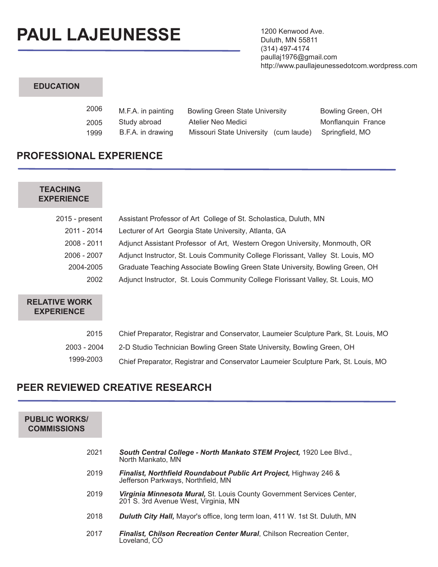# **PAUL LAJEUNESSE**

1200 Kenwood Ave. Duluth, MN 55811 (314) 497-4174 paullaj1976@gmail.com http://www.paullajeunessedotcom.wordpress.com

# **EDUCATION**

| 2006 | M.F.A. in painting | <b>Bowling Green State University</b> | Bowling Green, OH  |
|------|--------------------|---------------------------------------|--------------------|
| 2005 | Study abroad       | Atelier Neo Medici                    | Monflanguin France |
| 1999 | B.F.A. in drawing  | Missouri State University (cum laude) | Springfield. MO    |

# **PROFESSIONAL EXPERIENCE**

# **TEACHING EXPERIENCE**

| 2015 - present | Assistant Professor of Art College of St. Scholastica, Duluth, MN                |
|----------------|----------------------------------------------------------------------------------|
| 2011 - 2014    | Lecturer of Art Georgia State University, Atlanta, GA                            |
| 2008 - 2011    | Adjunct Assistant Professor of Art, Western Oregon University, Monmouth, OR      |
| 2006 - 2007    | Adjunct Instructor, St. Louis Community College Florissant, Valley St. Louis, MO |
| 2004-2005      | Graduate Teaching Associate Bowling Green State University, Bowling Green, OH    |
| 2002           | Adjunct Instructor, St. Louis Community College Florissant Valley, St. Louis, MO |
|                |                                                                                  |

# **RELATIVE WORK EXPERIENCE**

| 2015        | Chief Preparator, Registrar and Conservator, Laumeier Sculpture Park, St. Louis, MO |
|-------------|-------------------------------------------------------------------------------------|
| 2003 - 2004 | 2-D Studio Technician Bowling Green State University, Bowling Green, OH             |
| 1999-2003   | Chief Preparator, Registrar and Conservator Laumeier Sculpture Park, St. Louis, MO  |

# **PEER REVIEWED CREATIVE RESEARCH**

| <b>PUBLIC WORKS/</b><br><b>COMMISSIONS</b> |                                                                                                                       |
|--------------------------------------------|-----------------------------------------------------------------------------------------------------------------------|
| 2021                                       | South Central College - North Mankato STEM Project, 1920 Lee Blvd.,<br>North Mankato, MN                              |
| 2019                                       | <b>Finalist, Northfield Roundabout Public Art Project, Highway 246 &amp;</b><br>Jefferson Parkways, Northfield, MN    |
| 2019                                       | <b>Virginia Minnesota Mural, St. Louis County Government Services Center,</b><br>201 S. 3rd Avenue West, Virginia, MN |
| 2018                                       | <b>Duluth City Hall,</b> Mayor's office, long term loan, 411 W. 1st St. Duluth, MN                                    |
| 2017                                       | Finalist, Chilson Recreation Center Mural, Chilson Recreation Center,<br>Loveland, CO                                 |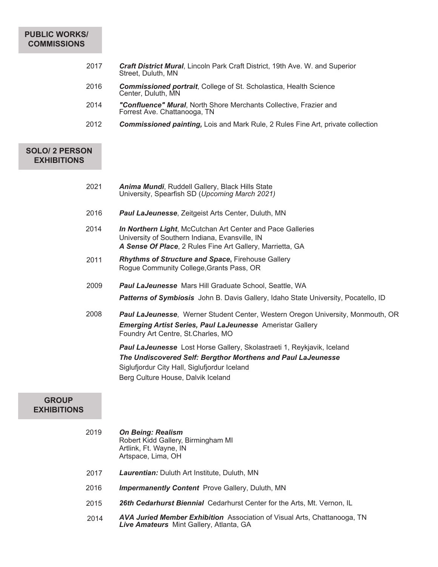## **PUBLIC WORKS/ COMMISSIONS**

| 2017 | <b>Craft District Mural, Lincoln Park Craft District, 19th Ave. W. and Superior</b><br>Street, Duluth, MN |
|------|-----------------------------------------------------------------------------------------------------------|
| 2016 | <b>Commissioned portrait, College of St. Scholastica, Health Science</b><br>Center, Duluth, MN            |
| 2014 | "Confluence" Mural, North Shore Merchants Collective, Frazier and<br>Forrest Ave. Chattanooga, TN         |
| 2012 | <b>Commissioned painting, Lois and Mark Rule, 2 Rules Fine Art, private collection</b>                    |
|      |                                                                                                           |

# **SOLO/ 2 PERSON EXHIBITIONS**

| 2021 | <b>Anima Mundi, Ruddell Gallery, Black Hills State</b> |
|------|--------------------------------------------------------|
|      | University, Spearfish SD (Upcoming March 2021)         |

- 2016 *Paul LaJeunesse*, Zeitgeist Arts Center, Duluth, MN
- 2014 *In Northern Light*, McCutchan Art Center and Pace Galleries University of Southern Indiana, Evansville, IN *A Sense Of Place*, 2 Rules Fine Art Gallery, Marrietta, GA
- 2011 *Rhythms of Structure and Space***,** Firehouse Gallery Rogue Community College,Grants Pass, OR
- 2009 *Paul LaJeunesse* Mars Hill Graduate School, Seattle, WA *Patterns of Symbiosis* John B. Davis Gallery, Idaho State University, Pocatello, ID
- 2008 *Paul LaJeunesse*, Werner Student Center, Western Oregon University, Monmouth, OR *Emerging Artist Series, Paul LaJeunesse* Ameristar Gallery Foundry Art Centre, St.Charles, MO

*Paul LaJeunesse* Lost Horse Gallery, Skolastraeti 1, Reykjavik, Iceland *The Undiscovered Self: Bergthor Morthens and Paul LaJeunesse* Siglufjordur City Hall, Siglufjordur Iceland Berg Culture House, Dalvik Iceland

#### **GROUP EXHIBITIONS**

| 2019 | <b>On Being: Realism</b><br>Robert Kidd Gallery, Birmingham MI<br>Artlink, Ft. Wayne, IN<br>Artspace, Lima, OH                    |
|------|-----------------------------------------------------------------------------------------------------------------------------------|
| 2017 | <b>Laurentian:</b> Duluth Art Institute, Duluth, MN                                                                               |
| 2016 | <b>Impermanently Content</b> Prove Gallery, Duluth, MN                                                                            |
| 2015 | <b>26th Cedarhurst Biennial</b> Cedarhurst Center for the Arts, Mt. Vernon, IL                                                    |
| 2014 | <b>AVA Juried Member Exhibition</b> Association of Visual Arts, Chattanooga, TN<br><b>Live Amateurs</b> Mint Gallery, Atlanta, GA |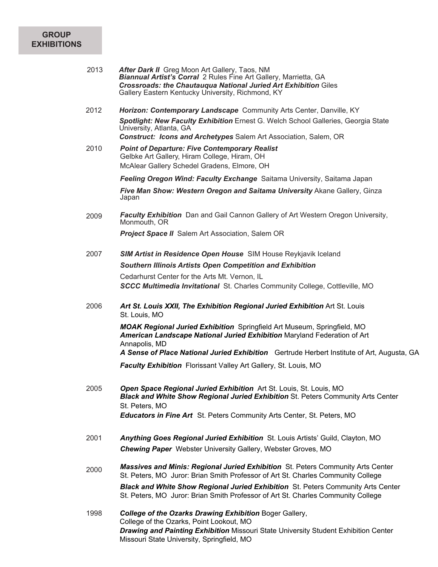#### **GROUP EXHIBITIONS**

| 2013 | <b>After Dark II</b> Greg Moon Art Gallery, Taos, NM<br><b>Biannual Artist's Corral</b> 2 Rules Fine Art Gallery, Marrietta, GA |
|------|---------------------------------------------------------------------------------------------------------------------------------|
|      | <b>Crossroads: the Chautaugua National Juried Art Exhibition Giles</b><br>Gallery Eastern Kentucky University, Richmond, KY     |

- 2012 *Horizon: Contemporary Landscape* Community Arts Center, Danville, KY *Spotlight: New Faculty Exhibition* Ernest G. Welch School Galleries, Georgia State University, Atlanta, GA *Construct: Icons and Archetypes* Salem Art Association, Salem, OR
- 2010 *Point of Departure: Five Contemporary Realist* Gelbke Art Gallery, Hiram College, Hiram, OH McAlear Gallery Schedel Gradens, Elmore, OH

*Feeling Oregon Wind: Faculty Exchange* Saitama University, Saitama Japan

*Five Man Show: Western Oregon and Saitama University* Akane Gallery, Ginza Japan

2009 *Faculty Exhibition* Dan and Gail Cannon Gallery of Art Western Oregon University, Monmouth, OR

*Project Space II* Salem Art Association, Salem OR

2007 *SIM Artist in Residence Open House* SIM House Reykjavik Iceland *Southern Illinois Artists Open Competition and Exhibition*

> Cedarhurst Center for the Arts Mt. Vernon, IL *SCCC Multimedia Invitational* St. Charles Community College, Cottleville, MO

2006 *Art St. Louis XXII, The Exhibition Regional Juried Exhibition* Art St. Louis St. Louis, MO

> *MOAK Regional Juried Exhibition* Springfield Art Museum, Springfield, MO *American Landscape National Juried Exhibition* Maryland Federation of Art Annapolis, MD

*A Sense of Place National Juried Exhibition* Gertrude Herbert Institute of Art, Augusta, GA

*Faculty Exhibition* Florissant Valley Art Gallery, St. Louis, MO

- *Open Space Regional Juried Exhibition* Art St. Louis, St. Louis, MO *Black and White Show Regional Juried Exhibition* St. Peters Community Arts Center St. Peters, MO *Educators in Fine Art* St. Peters Community Arts Center, St. Peters, MO 2005
- *Anything Goes Regional Juried Exhibition* St. Louis Artists' Guild, Clayton, MO *Chewing Paper* Webster University Gallery, Webster Groves, MO 2001
- 2000 *Massives and Minis: Regional Juried Exhibition* St. Peters Community Arts Center St. Peters, MO Juror: Brian Smith Professor of Art St. Charles Community College *Black and White Show Regional Juried Exhibition* St. Peters Community Arts Center St. Peters, MO Juror: Brian Smith Professor of Art St. Charles Community College
- 1998 *College of the Ozarks Drawing Exhibition* Boger Gallery, College of the Ozarks, Point Lookout, MO *Drawing and Painting Exhibition* Missouri State University Student Exhibition Center Missouri State University, Springfield, MO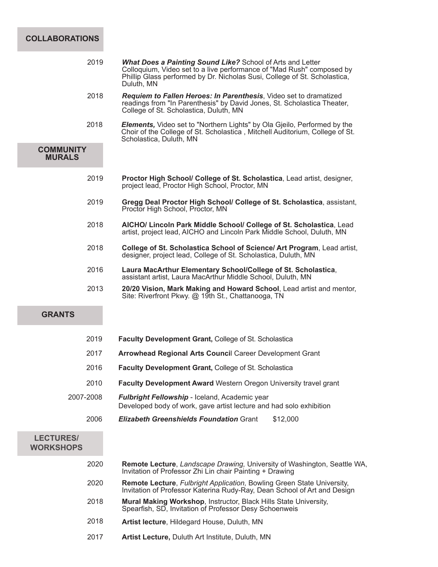# **COLLABORATIONS**

2019

|                                      |      | Colloquium, Video set to a live performance of "Mad Rush" composed by<br>Phillip Glass performed by Dr. Nicholas Susi, College of St. Scholastica,<br>Duluth, MN                           |
|--------------------------------------|------|--------------------------------------------------------------------------------------------------------------------------------------------------------------------------------------------|
|                                      | 2018 | Requiem to Fallen Heroes: In Parenthesis, Video set to dramatized<br>readings from "In Parenthesis" by David Jones, St. Scholastica Theater,<br>College of St. Scholastica, Duluth, MN     |
|                                      | 2018 | <b>Elements,</b> Video set to "Northern Lights" by Ola Gjeilo, Performed by the<br>Choir of the College of St. Scholastica, Mitchell Auditorium, College of St.<br>Scholastica, Duluth, MN |
| <b>COMMUNITY</b><br><b>MURALS</b>    |      |                                                                                                                                                                                            |
|                                      | 2019 | Proctor High School/ College of St. Scholastica, Lead artist, designer,<br>project lead, Proctor High School, Proctor, MN                                                                  |
|                                      | 2019 | Gregg Deal Proctor High School/ College of St. Scholastica, assistant,<br>Proctor High School, Proctor, MN                                                                                 |
|                                      | 2018 | AICHO/ Lincoln Park Middle School/ College of St. Scholastica, Lead<br>artist, project lead, AICHO and Lincoln Park Middle School, Duluth, MN                                              |
|                                      | 2018 | College of St. Scholastica School of Science/ Art Program, Lead artist,<br>designer, project lead, College of St. Scholastica, Duluth, MN                                                  |
|                                      | 2016 | Laura MacArthur Elementary School/College of St. Scholastica,<br>assistant artist, Laura MacArthur Middle School, Duluth, MN                                                               |
|                                      | 2013 | 20/20 Vision, Mark Making and Howard School, Lead artist and mentor,<br>Site: Riverfront Pkwy. @ 19th St., Chattanooga, TN                                                                 |
| <b>GRANTS</b>                        |      |                                                                                                                                                                                            |
|                                      | 2019 | <b>Faculty Development Grant, College of St. Scholastica</b>                                                                                                                               |
|                                      | 2017 | Arrowhead Regional Arts Council Career Development Grant                                                                                                                                   |
|                                      | 2016 | <b>Faculty Development Grant, College of St. Scholastica</b>                                                                                                                               |
|                                      | 2010 | Faculty Development Award Western Oregon University travel grant                                                                                                                           |
| 2007-2008                            |      | Fulbright Fellowship - Iceland, Academic year<br>Developed body of work, gave artist lecture and had solo exhibition                                                                       |
|                                      | 2006 | <b>Elizabeth Greenshields Foundation Grant</b><br>\$12,000                                                                                                                                 |
| <b>LECTURES/</b><br><b>WORKSHOPS</b> |      |                                                                                                                                                                                            |
|                                      | 2020 | Remote Lecture, Landscape Drawing, University of Washington, Seattle WA,<br>Invitation of Professor Zhi Lin chair Painting + Drawing                                                       |
|                                      | 2020 | Remote Lecture, Fulbright Application, Bowling Green State University,<br>Invitation of Professor Katerina Rudy-Ray, Dean School of Art and Design                                         |

*What Does a Painting Sound Like?* School of Arts and Letter

- **Mural Making Workshop**, Instructor, Black Hills State University, Spearfish, SD, Invitation of Professor Desy Schoenweis 2018
- **Artist lecture**, Hildegard House, Duluth, MN 2018
- **Artist Lecture,** Duluth Art Institute, Duluth, MN 2017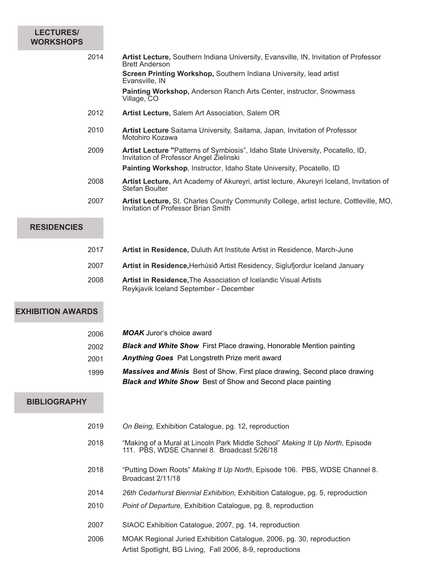## **LECTURES/ WORKSHOPS**

- **Artist Lecture,** Southern Indiana University, Evansville, IN, Invitation of Professor Brett Anderson **Screen Printing Workshop,** Southern Indiana University, lead artist Evansville, IN **Painting Workshop,** Anderson Ranch Arts Center, instructor, Snowmass Village, CO 2014
- **Artist Lecture,** Salem Art Association, Salem OR 2012
- **Artist Lecture** Saitama University, Saitama, Japan, Invitation of Professor Motohiro Kozawa 2010
- **Artist Lecture "**Patterns of Symbiosis", Idaho State University, Pocatello, ID, Invitation of Professor Angel Zielinski 2009

**Painting Workshop**, Instructor, Idaho State University, Pocatello, ID

- **Artist Lecture,** Art Academy of Akureyri, artist lecture, Akureyri Iceland, Invitation of Stefan Boulter 2008
- **Artist Lecture,** St. Charles County Community College, artist lecture, Cottleville, MO, Invitation of Professor Brian Smith 2007

# **RESIDENCIES**

- **Artist in Residence,** Duluth Art Institute Artist in Residence, March-June 2017
- 2007 **Artist in Residence,**Herhúsið Artist Residency, Siglufjordur Iceland January
- **Artist in Residence,**The Association of Icelandic Visual Artists Reykjavik Iceland September - December 2008

# **EXHIBITION AWARDS**

|      | <b>Black and White Show</b> Best of Show and Second place painting                |
|------|-----------------------------------------------------------------------------------|
| 1999 | <b>Massives and Minis</b> Best of Show, First place drawing, Second place drawing |
| 2001 | <b>Anything Goes</b> Pat Longstreth Prize merit award                             |
| 2002 | <b>Black and White Show</b> First Place drawing, Honorable Mention painting       |
| 2006 | <b>MOAK</b> Juror's choice award                                                  |

### **BIBLIOGRAPHY**

| 2019 | On Being, Exhibition Catalogue, pg. 12, reproduction                                                                                |
|------|-------------------------------------------------------------------------------------------------------------------------------------|
| 2018 | "Making of a Mural at Lincoln Park Middle School" Making It Up North, Episode<br>111. PBS, WDSE Channel 8. Broadcast 5/26/18        |
| 2018 | "Putting Down Roots" Making It Up North, Episode 106. PBS, WDSE Channel 8.<br>Broadcast 2/11/18                                     |
| 2014 | 26th Cedarhurst Biennial Exhibition, Exhibition Catalogue, pg. 5, reproduction                                                      |
| 2010 | <i>Point of Departure, Exhibition Catalogue, pg. 8, reproduction</i>                                                                |
| 2007 | SIAOC Exhibition Catalogue, 2007, pg. 14, reproduction                                                                              |
| 2006 | MOAK Regional Juried Exhibition Catalogue, 2006, pg. 30, reproduction<br>Artist Spotlight, BG Living, Fall 2006, 8-9, reproductions |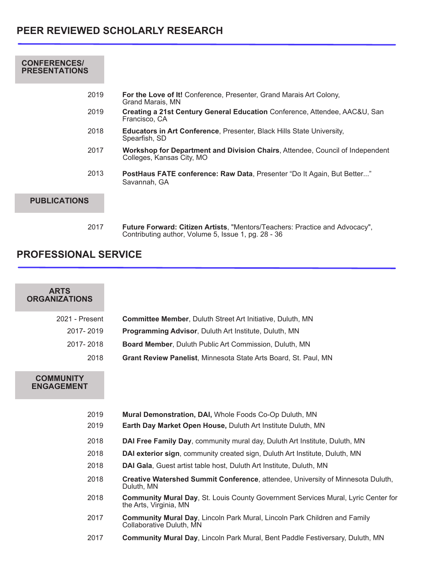| <b>CONFERENCES/</b><br><b>PRESENTATIONS</b> |                                                                                                            |
|---------------------------------------------|------------------------------------------------------------------------------------------------------------|
| 2019                                        | <b>For the Love of It!</b> Conference, Presenter, Grand Marais Art Colony,<br>Grand Marais, MN             |
| 2019                                        | Creating a 21st Century General Education Conference, Attendee, AAC&U, San<br>Francisco, CA                |
| 2018                                        | <b>Educators in Art Conference, Presenter, Black Hills State University,</b><br>Spearfish, SD              |
| 2017                                        | Workshop for Department and Division Chairs, Attendee, Council of Independent<br>Colleges, Kansas City, MO |
| 2013                                        | PostHaus FATE conference: Raw Data, Presenter "Do It Again, But Better"<br>Savannah, GA                    |
| <b>PUBLICATIONS</b>                         |                                                                                                            |
|                                             |                                                                                                            |

**Future Forward: Citizen Artists**, "Mentors/Teachers: Practice and Advocacy", Contributing author, Volume 5, Issue 1, pg. 28 - 36 2017

# **PROFESSIONAL SERVICE**

| <b>ARTS</b><br><b>ORGANIZATIONS</b>   |                                                                                                                    |
|---------------------------------------|--------------------------------------------------------------------------------------------------------------------|
| 2021 - Present                        | <b>Committee Member, Duluth Street Art Initiative, Duluth, MN</b>                                                  |
| 2017-2019                             | <b>Programming Advisor, Duluth Art Institute, Duluth, MN</b>                                                       |
| 2017-2018                             | Board Member, Duluth Public Art Commission, Duluth, MN                                                             |
| 2018                                  | Grant Review Panelist, Minnesota State Arts Board, St. Paul, MN                                                    |
| <b>COMMUNITY</b><br><b>ENGAGEMENT</b> |                                                                                                                    |
| 2019                                  | Mural Demonstration, DAI, Whole Foods Co-Op Duluth, MN                                                             |
| 2019                                  | Earth Day Market Open House, Duluth Art Institute Duluth, MN                                                       |
| 2018                                  | DAI Free Family Day, community mural day, Duluth Art Institute, Duluth, MN                                         |
| 2018                                  | DAI exterior sign, community created sign, Duluth Art Institute, Duluth, MN                                        |
| 2018                                  | DAI Gala, Guest artist table host, Duluth Art Institute, Duluth, MN                                                |
| 2018                                  | Creative Watershed Summit Conference, attendee, University of Minnesota Duluth,<br>Duluth, MN                      |
| 2018                                  | <b>Community Mural Day, St. Louis County Government Services Mural, Lyric Center for</b><br>the Arts, Virginia, MN |
| 2017                                  | <b>Community Mural Day, Lincoln Park Mural, Lincoln Park Children and Family</b><br>Collaborative Duluth, MN       |
| 2017                                  | <b>Community Mural Day, Lincoln Park Mural, Bent Paddle Festiversary, Duluth, MN</b>                               |